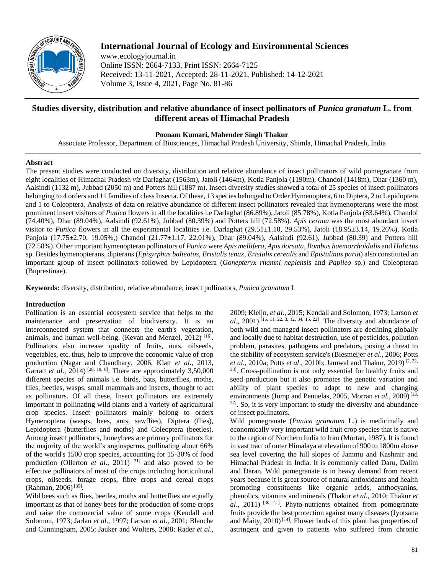

# **International Journal of Ecology and Environmental Sciences**

www.ecologyjournal.in Online ISSN: 2664-7133, Print ISSN: 2664-7125 Received: 13-11-2021, Accepted: 28-11-2021, Published: 14-12-2021 Volume 3, Issue 4, 2021, Page No. 81-86

## **Studies diversity, distribution and relative abundance of insect pollinators of** *Punica granatum* **L. from different areas of Himachal Pradesh**

**Poonam Kumari, Mahender Singh Thakur**

Associate Professor, Department of Biosciences, Himachal Pradesh University, Shimla, Himachal Pradesh, India

#### **Abstract**

The present studies were conducted on diversity, distribution and relative abundance of insect pollinators of wild pomegranate from eight localities of Himachal Pradesh *viz* Darlaghat (1563m), Jatoli (1464m), Kotla Panjola (1190m), Chandol (1418m), Dhar (1360 m), Aalsindi (1132 m), Jubbad (2050 m) and Potters hill (1887 m). Insect diversity studies showed a total of 25 species of insect pollinators belonging to 4 orders and 11 families of class Insecta. Of these, 13 species belonged to Order Hymenoptera, 6 to Diptera, 2 to Lepidoptera and 1 to Coleoptera. Analysis of data on relative abundance of different insect pollinators revealed that hymenopterans were the most prominent insect visitors of *Punica* flowers in all the localities i.e Darlaghat (86.89%), Jatoli (85.78%), Kotla Panjola (83.64%), Chandol (74.40%), Dhar (89.04%), Aalsindi (92.61%), Jubbad (80.39%) and Potters hill (72.58%). *Apis cerana* was the most abundant insect visitor to *Punica* flowers in all the experimental localities i.e. Darlaghat (29.51±1.10, 29.53%), Jatoli (18.95±3.14, 19.26%), Kotla Panjola (17.75±2.70, 19.05%,) Chandol (21.77±1.17, 22.01%), Dhar (89.04%), Aalsindi (92.61), Jubbad (80.39) and Potters hill (72.58%). Other important hymenopteran pollinators of *Punica* were *Apis mellifera*, *Apis dorsata*, *Bombus haemorrhoidalis* and *Halictus* sp. Besides hymenopterans, dipterans (*Episyrphus balteatus, Eristalis tenax, Eristalis cerealis* and *Epistalinus paria*) also constituted an important group of insect pollinators followed by Lepidoptera (*Gonepteryx rhamni neplensis* and *Papileo* sp.) and Coleopteran (Buprestinae).

**Keywords:** diversity, distribution, relative abundance, insect pollinators, *Punica granatum* L

## **Introduction**

Pollination is an essential ecosystem service that helps to the maintenance and preservation of biodiversity. It is an interconnected system that connects the earth's vegetation, animals, and human well-being. (Kevan and Menzel, 2012)<sup>[16]</sup>. Pollinators also increase quality of fruits, nuts, oilseeds, vegetables, etc. thus, help to improve the economic value of crop production (Nagar and Chaudhary, 2006, Klatt *et al*., 2013, Garratt *et al.*, 2014)<sup>[28, 19, 8]. There are approximately 3,50,000</sup> different species of animals i.e. birds, bats, butterflies, moths, flies, beetles, wasps, small mammals and insects, thought to act as pollinators. Of all these, Insect pollinators are extremely important in pollinating wild plants and a variety of agricultural crop species. Insect pollinators mainly belong to orders Hymenoptera (wasps, bees, ants, sawflies), Diptera (flies), Lepidoptera (butterflies and moths) and Coleoptera (beetles). Among insect pollinators, honeybees are primary pollinators for the majority of the world's angiosperms, pollinating about 66% of the world's 1500 crop species, accounting for 15-30% of food production (Ollerton *et al.*, 2011)<sup>[31]</sup> and also proved to be effective pollinators of most of the crops including horticultural crops, oilseeds, forage crops, fibre crops and cereal crops (Rahman, 2006)<sup>[35]</sup>.

Wild bees such as flies, beetles, moths and butterflies are equally important as that of honey bees for the production of some crops and raise the commercial value of some crops (Kendall and Solomon, 1973; Jarlan *et al*., 1997; Larson *et al*., 2001; Blanche and Cunningham, 2005; Jauker and Wolters, 2008; Rader *et al*., 2009; Kleijn, *et al*., 2015; Kendall and Solomon, 1973; Larson *et al*., 2001) [15, 11, 22, 3, 12, 34, 15, 22]. The diversity and abundance of both wild and managed insect pollinators are declining globally and locally due to habitat destruction, use of pesticides, pollution problem, parasites, pathogens and predators, posing a threat to the stability of ecosystem service's (Biesmeijer *et al*., 2006; Potts *et al*., 2010a; Potts *et al*., 2010b; Jamwal and Thakur, 2019) [2, 32, 33]. Cross-pollination is not only essential for healthy fruits and seed production but it also promotes the genetic variation and ability of plant species to adapt to new and changing environments (Jump and Penuelas, 2005, Morran *et al.*, 2009)<sup>[13,</sup>  $27$ ]. So, it is very important to study the diversity and abundance of insect pollinators.

Wild pomegranate (*Punica granatum* L.) is medicinally and economically very important wild fruit crop species that is native to the region of Northern India to Iran (Mortan, 1987). It is found in vast tract of outer Himalaya at elevation of 900 to 1800m above sea level covering the hill slopes of Jammu and Kashmir and Himachal Pradesh in India. It is commonly called Daru, Dalim and Daran. Wild pomegranate is in heavy demand from recent years because it is great source of natural antioxidants and health promoting constituents like organic acids, anthocyanins, phenolics, vitamins and minerals (Thakur *et al*., 2010; Thakur *et al*., 2011) [40, 41]. Phyto-nutrients obtained from pomegranate fruits provide the best protection against many diseases (Jyotsana and Maity,  $2010$ <sup>[14]</sup>. Flower buds of this plant has properties of astringent and given to patients who suffered from chronic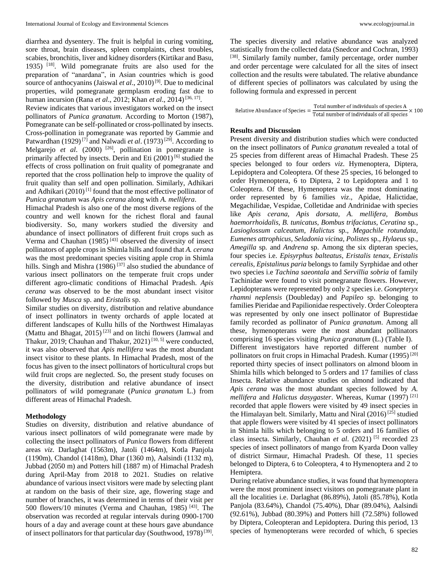diarrhea and dysentery. The fruit is helpful in curing vomiting, sore throat, brain diseases, spleen complaints, chest troubles, scabies, bronchitis, liver and kidney disorders (Kirtikar and Basu, 1935) [18]. Wild pomegranate fruits are also used for the preparation of "anardana", in Asian countries which is good source of anthocyanins (Jaiswal *et al.*, 2010)<sup>[9]</sup>. Due to medicinal properties, wild pomegranate germplasm eroding fast due to human incursion (Rana *et al.*, 2012; Khan *et al.*, 2014)<sup>[36, 17]</sup>.

Review indicates that various investigators worked on the insect pollinators of *Punica granatum*. According to Morton (1987), Pomegranate can be self-pollinated or cross-pollinated by insects. Cross-pollination in pomegranate was reported by Gammie and Patwardhan (1929)<sup>[7]</sup> and Nalwadi *et al.* (1973)<sup>[29]</sup>. According to Melgarejo *et al.* (2000) <sup>[26]</sup>, pollination in pomegranate is primarily affected by insects. Derin and Eti (2001) [6] studied the effects of cross pollination on fruit quality of pomegranate and reported that the cross pollination help to improve the quality of fruit quality than self and open pollination. Similarly, Adhikari and Adhikari  $(2010)^{11}$  found that the most effective pollinator of *Punica granatum* was *Apis cerana* along with *A. mellifera*.

Himachal Pradesh is also one of the most diverse regions of the country and well known for the richest floral and faunal biodiversity. So, many workers studied the diversity and abundance of insect pollinators of different fruit crops such as Verma and Chauhan  $(1985)$ <sup>[43]</sup> observed the diversity of insect pollinators of apple crops in Shimla hills and found that *A. cerana* was the most predominant species visiting apple crop in Shimla hills. Singh and Mishra  $(1986)$ <sup>[37]</sup> also studied the abundance of various insect pollinators on the temperate fruit crops under different agro-climatic conditions of Himachal Pradesh. *Apis cerana* was observed to be the most abundant insect visitor followed by *Musca* sp. and *Eristalis* sp.

Similar studies on diversity, distribution and relative abundance of insect pollinators in twenty orchards of apple located at different landscapes of Kullu hills of the Northwest Himalayas (Mattu and Bhagat, 2015) [23] and on litchi flowers (Jamwal and Thakur, 2019; Chauhan and Thakur,  $2021$ <sup>[10, 5]</sup> were conducted, it was also observed that *Apis mellifera* was the most abundant insect visitor to these plants. In Himachal Pradesh, most of the focus has given to the insect pollinators of horticultural crops but wild fruit crops are neglected. So, the present study focuses on the diversity, distribution and relative abundance of insect pollinators of wild pomegranate (*Punica granatum* L.) from different areas of Himachal Pradesh.

#### **Methodology**

Studies on diversity, distribution and relative abundance of various insect pollinators of wild pomegranate were made by collecting the insect pollinators of *Punica* flowers from different areas *viz*. Darlaghat (1563m), Jatoli (1464m), Kotla Panjola (1190m), Chandol (1418m), Dhar (1360 m), Aalsindi (1132 m), Jubbad (2050 m) and Potters hill (1887 m) of Himachal Pradesh during April-May from 2018 to 2021. Studies on relative abundance of various insect visitors were made by selecting plant at random on the basis of their size, age, flowering stage and number of branches, it was determined in terms of their visit per 500 flowers/10 minutes (Verma and Chauhan, 1985)<sup>[43]</sup>. The observation was recorded at regular intervals during 0900-1700 hours of a day and average count at these hours gave abundance of insect pollinators for that particular day (Southwood, 1978)<sup>[39]</sup>.

The species diversity and relative abundance was analyzed statistically from the collected data (Snedcor and Cochran, 1993) [38]. Similarly family number, family percentage, order number and order percentage were calculated for all the sites of insect collection and the results were tabulated. The relative abundance of different species of pollinators was calculated by using the following formula and expressed in percent

Relative Abundance of Species =  $\frac{\text{Total number of individuals of species A}}{\text{Total number of individuals of all species}} \times 100$ 

#### **Results and Discussion**

Present diversity and distribution studies which were conducted on the insect pollinators of *Punica granatum* revealed a total of 25 species from different areas of Himachal Pradesh. These 25 species belonged to four orders *viz*. Hymenoptera, Diptera, Lepidoptera and Coleoptera. Of these 25 species, 16 belonged to order Hymenoptera, 6 to Diptera, 2 to Lepidoptera and 1 to Coleoptera. Of these, Hymenoptera was the most dominating order represented by 6 families *viz*., Apidae, Halictidae, Megachilidae, Vespidae, Colletidae and Andrinidae with species like *Apis cerana, Apis dorsata, A. mellifera, Bombus haemorrhoidalis, B. tunicatus, Bombus trifaciatus, Ceratina* sp*., Lasioglossum calceatum, Halictus* sp., *Megachile rotundata, Eumenes attrophicus, Seladonia vicina, Polistes* sp., *Hylaeus* sp.*, Amegilla* sp*.* and *Andrena* sp. Among the six dipteran species, four species i.e. *Episyrphus balteatus, Eristalis tenax, Eristalis cerealis*, *Epistalinus paria* belongs to family Syrphidae and other two species i.e *Tachina saeontala* and *Servillia sobria* of family Tachinidae were found to visit pomegranate flowers. However, Lepidopterans were represented by only 2 species i.e. *Gonepteryx rhamni neplensis* (Doubleday) and *Papileo* sp. belonging to families Pieridae and Papilionidae respectively. Order Coleoptera was represented by only one insect pollinator of Buprestidae family recorded as pollinator of *Punica granatum*. Among all these, hymenopterans were the most abundant pollinators comprising 16 species visiting *Punica granatum* (L.) (Table I). Different investigators have reported different number of pollinators on fruit crops in Himachal Pradesh. Kumar (1995) [20] reported thirty species of insect pollinators on almond bloom in Shimla hills which belonged to 5 orders and 17 families of class Insecta. Relative abundance studies on almond indicated that *Apis cerana* was the most abundant species followed by *A. mellifera* and *Halictus dasygaster*. Whereas, Kumar (1997) [21] recorded that apple flowers were visited by 49 insect species in the Himalayan belt. Similarly, Mattu and Niral (2016)<sup>[25]</sup> studied that apple flowers were visited by 41 species of insect pollinators in Shimla hills which belonging to 5 orders and 16 families of class insecta. Similarly, Chauhan et al. (2021)<sup>[5]</sup> recorded 23 species of insect pollinators of mango from Kyarda Doon valley of district Sirmaur, Himachal Pradesh. Of these, 11 species belonged to Diptera, 6 to Coleoptera, 4 to Hymenoptera and 2 to Hemiptera.

During relative abundance studies, it was found that hymenoptera were the most prominent insect visitors on pomegranate plant in all the localities i.e. Darlaghat (86.89%), Jatoli (85.78%), Kotla Panjola (83.64%), Chandol (75.40%), Dhar (89.04%), Aalsindi (92.61%), Jubbad (80.39%) and Potters hill (72.58%) followed by Diptera, Coleopteran and Lepidoptera. During this period, 13 species of hymenopterans were recorded of which, 6 species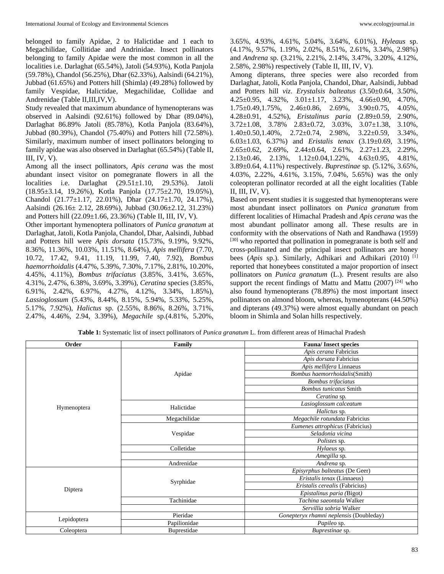belonged to family Apidae, 2 to Halictidae and 1 each to Megachilidae, Collitidae and Andrinidae. Insect pollinators belonging to family Apidae were the most common in all the localities i.e. Darlaghat (65.54%), Jatoli (54.93%), Kotla Panjola (59.78%), Chandol (56.25%), Dhar (62.33%), Aalsindi (64.21%), Jubbad (61.65%) and Potters hill (Shimla) (49.28%) followed by family Vespidae, Halictidae, Megachilidae, Collidae and Andrenidae (Table II,III,IV,V).

Study revealed that maximum abundance of hymenopterans was observed in Aalsindi (92.61%) followed by Dhar (89.04%), Darlaghat 86.89% Jatoli (85.78%), Kotla Panjola (83.64%), Jubbad (80.39%), Chandol (75.40%) and Potters hill (72.58%). Similarly, maximum number of insect pollinators belonging to family apidae was also observed in Darlaghat (65.54%) (Table II, III, IV, V).

Among all the insect pollinators, *Apis cerana* was the most abundant insect visitor on pomegranate flowers in all the localities i.e. Darlaghat (29.51±1.10, 29.53%). Jatoli (18.95±3.14, 19.26%), Kotla Panjola (17.75±2.70, 19.05%), Chandol (21.77±1.17, 22.01%), Dhar (24.17±1.70, 24.17%), Aalsindi (26.16± 2.12, 28.69%), Jubbad (30.06±2.12, 31.23%) and Potters hill (22.09±1.66, 23.36%) (Table II, III, IV, V).

Other important hymenoptera pollinators of *Punica granatum* at Darlaghat, Jatoli, Kotla Panjola, Chandol, Dhar, Aalsindi, Jubbad and Potters hill were *Apis dorsata* (15.73%, 9.19%, 9.92%, 8.36%, 11.36%, 10.03%, 11.51%, 8.64%), *Apis mellifera* (7.70, 10.72, 17.42, 9.41, 11.19, 11.99, 7.40, 7.92), *Bombus haemorrhoidalis* (4.47%, 5.39%, 7.30%, 7.17%, 2.81%, 10.20%, 4.45%, 4.11%), *Bombus trifaciatus* (3.85%, 3.41%, 3.65%, 4.31%, 2.47%, 6.38%, 3.69%, 3.39%), *Ceratina* species (3.85%, 6.91%, 2.42%, 6.97%, 4.27%, 4.12%, 3.34%, 1.85%), *Lassioglossum* (5.43%, 8.44%, 8.15%, 5.94%, 5.33%, 5.25%, 5.17%, 7.92%), *Halictus* sp. (2.55%, 8.86%, 8.26%, 3.71%, 2.47%, 4.46%, 2.94, 3.39%), *Megachile* sp.(4.81%, 5.20%,

3.65%, 4.93%, 4.61%, 5.04%, 3.64%, 6.01%), *Hyleaus* sp. (4.17%, 9.57%, 1.19%, 2.02%, 8.51%, 2.61%, 3.34%, 2.98%) and *Andrena* sp. (3.21%, 2.21%, 2.14%, 3.47%, 3.20%, 4.12%, 2.58%, 2.98%) respectively (Table II, III, IV, V).

Among dipterans, three species were also recorded from Darlaghat, Jatoli, Kotla Panjola, Chandol, Dhar, Aalsindi, Jubbad and Potters hill *viz*. *Erystalsis balteatus* (3.50±0.64, 3.50%, 4.25±0.95, 4.32%, 3.01±1.17, 3.23%, 4.66±0.90, 4.70%, 1.75±0.49,1.75%, 2.46±0.86, 2.69%, 3.90±0.75, 4.05%, 4.28±0.91, 4.52%), *Eristalinus paria* (2.89±0.59, 2.90%, 3.72±1.08, 3.78% 2.83±0.72, 3.03%, 3.07±1.38, 3.10%,  $1.40 \pm 0.50, 1.40\%$ ,  $2.72 \pm 0.74$ ,  $2.98\%$ ,  $3.22 \pm 0.59$ ,  $3.34\%$ , 6.03±1.03, 6.37%) and *Eristalis tenax* (3.19±0.69, 3.19%, 2.65±0.62, 2.69%, 2.44±0.64, 2.61%, 2.27±1.23, 2.29%, 2.13±0.46, 2.13%, 1.12±0.04,1.22%, 4.63±0.95, 4.81%, 3.89±0.64, 4.11%) respectively. *Buprestinae* sp*.* (5.12%, 3.65%, 4.03%, 2.22%, 4.61%, 3.15%, 7.04%, 5.65%) was the only coleopteran pollinator recorded at all the eight localities (Table II, III, IV, V).

Based on present studies it is suggested that hymenopterans were most abundant insect pollinators on *Punica granatum* from different localities of Himachal Pradesh and *Apis cerana* was the most abundant pollinator among all. These results are in conformity with the observations of Nath and Randhawa (1959) [30] who reported that pollination in pomegranate is both self and cross-pollinated and the principal insect pollinators are honey bees (*Apis* sp.). Similarly, Adhikari and Adhikari (2010) [1] reported that honeybees constituted a major proportion of insect pollinators on *Punica granatum* (L.). Present results are also support the recent findings of Mattu and Mattu  $(2007)^{[24]}$  who also found hymenopterans (78.89%) the most important insect pollinators on almond bloom, whereas, hymenopterans (44.50%) and dipterans (49.37%) were almost equally abundant on peach bloom in Shimla and Solan hills respectively.

| Table 1: Systematic list of insect pollinators of <i>Punica granatum</i> L. from different areas of Himachal Pradesh |  |
|----------------------------------------------------------------------------------------------------------------------|--|
|                                                                                                                      |  |

| Apis cerana Fabricius<br>Apis dorsata Fabricius<br>Apis mellifera Linnaeus<br>Bombus haemorrhoidalis(Smith)<br>Apidae<br>Bombus trifaciatus<br><b>Bombus tunicatus Smith</b><br>Ceratina sp.<br>Lasioglossum calceatum<br>Halictidae<br>Hymenoptera<br>Halictus sp. |  |
|---------------------------------------------------------------------------------------------------------------------------------------------------------------------------------------------------------------------------------------------------------------------|--|
|                                                                                                                                                                                                                                                                     |  |
|                                                                                                                                                                                                                                                                     |  |
|                                                                                                                                                                                                                                                                     |  |
|                                                                                                                                                                                                                                                                     |  |
|                                                                                                                                                                                                                                                                     |  |
|                                                                                                                                                                                                                                                                     |  |
|                                                                                                                                                                                                                                                                     |  |
|                                                                                                                                                                                                                                                                     |  |
|                                                                                                                                                                                                                                                                     |  |
| Megachile rotundata Fabricius<br>Megachilidae                                                                                                                                                                                                                       |  |
| Eumenes attrophicus (Fabricius)                                                                                                                                                                                                                                     |  |
| Vespidae<br>Seladonia vicina                                                                                                                                                                                                                                        |  |
| <i>Polistes</i> sp.                                                                                                                                                                                                                                                 |  |
| Colletidae<br>Hylaeus sp.                                                                                                                                                                                                                                           |  |
| Amegilla sp.                                                                                                                                                                                                                                                        |  |
| Andrenidae<br>Andrena sp.                                                                                                                                                                                                                                           |  |
| Episyrphus balteatus (De Geer)                                                                                                                                                                                                                                      |  |
| Eristalis tenax (Linnaeus)<br>Syrphidae                                                                                                                                                                                                                             |  |
| Eristalis cerealis (Fabricius)<br>Diptera                                                                                                                                                                                                                           |  |
| Epistalinus paria (Bigot)                                                                                                                                                                                                                                           |  |
| Tachinidae<br>Tachina saeontala Walker                                                                                                                                                                                                                              |  |
| Servillia sobria Walker                                                                                                                                                                                                                                             |  |
| Pieridae<br>Gonepteryx rhamni neplensis (Doubleday)<br>Lepidoptera                                                                                                                                                                                                  |  |
| Papilionidae<br>Papileo sp.                                                                                                                                                                                                                                         |  |
| Buprestidae<br>Coleoptera<br>Buprestinae sp.                                                                                                                                                                                                                        |  |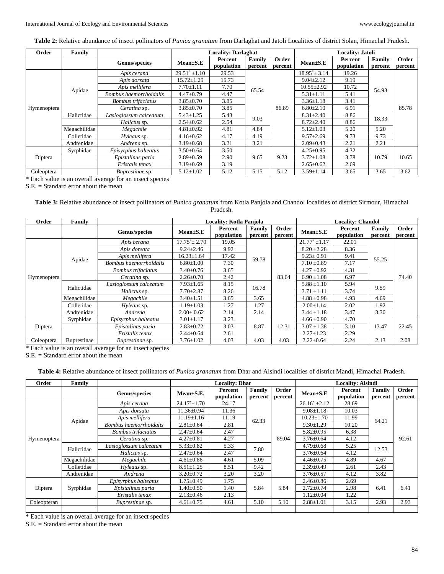**Table 2:** Relative abundance of insect pollinators of *Punica granatum* from Darlaghat and Jatoli Localities of district Solan, Himachal Pradesh.

| Order       | Family       |                           | <b>Locality: Darlaghat</b> |                       |                       |                  | <b>Locality: Jatoli</b> |                       |                   |                  |  |
|-------------|--------------|---------------------------|----------------------------|-----------------------|-----------------------|------------------|-------------------------|-----------------------|-------------------|------------------|--|
|             |              | Genus/species             | $Mean \pm S.E$             | Percent<br>population | Family<br>percent     | Order<br>percent | $Mean \pm S.E$          | Percent<br>population | Family<br>percent | Order<br>percent |  |
|             |              | Apis cerana               | $29.51^*$ ±1.10            | 29.53                 |                       |                  | $18.95^* \pm 3.14$      | 19.26                 |                   |                  |  |
|             |              | Apis dorsata              | $15.72 \pm 1.29$           | 15.73                 |                       |                  | $9.04 \pm 2.12$         | 9.19                  | 54.93             |                  |  |
|             | Apidae       | Apis mellifera            | $7.70 \pm 1.11$            | 7.70                  | 65.54                 |                  | $10.55 \pm 2.92$        | 10.72                 |                   | 85.78            |  |
|             |              | Bombus haemorrhoidalis    | $4.47 \pm 0.79$            | 4.47                  |                       |                  | $5.31 \pm 1.11$         | 5.41                  |                   |                  |  |
|             |              | <b>Bombus</b> trifaciatus | $3.85 \pm 0.70$            | 3.85                  | 86.89<br>9.03<br>4.84 |                  | $3.36 \pm 1.18$         | 3.41                  |                   |                  |  |
| Hymenoptera |              | Ceratina sp.              | $3.85 \pm 0.70$            | 3.85                  |                       |                  | $6.80 \pm 2.10$         | 6.91                  |                   |                  |  |
|             | Halictidae   | Lasioglossum calceatum    | $5.43 \pm 1.25$            | 5.43                  |                       |                  | $8.31 \pm 2.40$         | 8.86                  | 18.33             |                  |  |
|             |              | Halictus sp.              | $2.54 \pm 0.62$            | 2.54                  |                       |                  | $8.72 \pm 2.40$         | 8.86                  |                   |                  |  |
|             | Megachilidae | Megachile                 | $4.81 \pm 0.92$            | 4.81                  |                       | $5.12 \pm 1.03$  | 5.20                    | 5.20                  |                   |                  |  |
|             | Colletidae   | Hyleaus sp.               | $4.16 \pm 0.62$            | 4.17                  | 4.19                  |                  | $9.57 \pm 2.69$         | 9.73                  | 9.73              |                  |  |
|             | Andrenidae   | Andrena sp.               | $3.19 \pm 0.68$            | 3.21                  | 3.21                  |                  | $2.09 \pm 0.43$         | 2.21                  | 2.21              |                  |  |
|             | Syrphidae    | Episyrphus balteatus      | $3.50 \pm 0.64$            | 3.50                  |                       |                  | $4.25 \pm 0.95$         | 4.32                  |                   |                  |  |
| Diptera     |              | Epistalinus paria         | $2.89 \pm 0.59$            | 2.90                  | 9.65                  | 9.23             | $3.72 \pm 1.08$         | 3.78                  | 10.79             | 10.65            |  |
|             |              | Eristalis tenax           | $3.19 \pm 0.69$            | 3.19                  |                       |                  | $2.65 \pm 0.62$         | 2.69                  |                   |                  |  |
| Coleoptera  |              | <i>Buprestinae</i> sp.    | $5.12 \pm 1.02$            | 5.12                  | 5.15                  | 5.12             | $3.59 \pm 1.14$         | 3.65                  | 3.65              | 3.62             |  |

\* Each value is an overall average for an insect species

S.E. = Standard error about the mean

#### **Table 3:** Relative abundance of insect pollinators of *Punica granatum* from Kotla Panjola and Chandol localities of district Sirmour, Himachal Pradesh.

| Order       | Family             |                        | <b>Locality: Kotla Panjola</b> |                       |                   |                  | <b>Locality: Chandol</b> |                       |                   |                  |  |
|-------------|--------------------|------------------------|--------------------------------|-----------------------|-------------------|------------------|--------------------------|-----------------------|-------------------|------------------|--|
|             |                    | Genus/species          | $Mean \pm S.E$                 | Percent<br>population | Family<br>percent | Order<br>percent | $Mean \pm S.E$           | Percent<br>population | Family<br>percent | Order<br>percent |  |
|             |                    | Apis cerana            | $17.75^* \pm 2.70$             | 19.05                 |                   |                  | $21.77^*$ ±1.17          | 22.01                 | 55.25             |                  |  |
|             |                    | Apis dorsata           | $9.24 \pm 2.46$                | 9.92                  |                   |                  | $8.20 \pm 2.28$          | 8.36                  |                   |                  |  |
|             | Apidae             | Apis mellifera         | $16.23 \pm 1.64$               | 17.42                 | 59.78             |                  | $9.23 \pm 0.91$          | 9.41                  |                   | 74.40            |  |
|             |                    | Bombus haemorrhoidalis | $6.80 \pm 1.00$                | 7.30                  |                   |                  | $7.10 \pm 0.89$          | 7.17                  |                   |                  |  |
|             |                    | Bombus trifaciatus     | $3.40 \pm 0.76$                | 3.65                  |                   |                  | $4.27 \pm 0.92$          | 4.31                  |                   |                  |  |
| Hymenoptera |                    | Ceratina sp.           | $2.26 \pm 0.70$                | 2.42                  |                   | 83.64            | $6.90 \pm 1.08$          | 6.97                  |                   |                  |  |
|             | Halictidae         | Lasioglossum calceatum | $7.93 \pm 1.65$                | 8.15                  | 16.78             |                  | $5.88 \pm 1.10$          | 5.94                  | 9.59              |                  |  |
|             |                    | <i>Halictus</i> sp.    | $7.70 \pm 2.87$                | 8.26                  |                   |                  | $3.71 \pm 1.11$          | 3.74                  |                   |                  |  |
|             | Megachilidae       | Megachile              | $3.40 \pm 1.51$                | 3.65                  | 3.65              |                  | $4.88 \pm 0.98$          | 4.93                  | 4.69              |                  |  |
|             | Colletidae         | Hyleaus sp.            | $1.19 \pm 1.03$                | 1.27                  | 1.27              |                  | $2.00 \pm 1.14$          | 2.02                  | 1.92              |                  |  |
|             | Andrenidae         | Andrena                | $2.00 \pm 0.62$                | 2.14                  | 2.14              |                  | $3.44 \pm 1.18$          | 3.47                  | 3.30              |                  |  |
|             | Syrphidae          | Episyrphus balteatus   | $3.01 \pm 1.17$                | 3.23                  | 8.87              |                  | $4.66 \pm 0.90$          | 4.70                  | 13.47             | 22.45            |  |
| Diptera     |                    | Epistalinus paria      | $2.83 \pm 0.72$                | 3.03                  |                   | 12.31            | $3.07 \pm 1.38$          | 3.10                  |                   |                  |  |
|             |                    | Eristalis tenax        | $2.44 \pm 0.64$                | 2.61                  |                   |                  | $2.27 \pm 1.23$          | 2.29                  |                   |                  |  |
| Coleoptera  | <b>Buprestinae</b> | <i>Buprestinae</i> sp. | $3.76 \pm 1.02$                | 4.03                  | 4.03              | 4.03             | $2.22 \pm 0.64$          | 2.24                  | 2.13              | 2.08             |  |

\* Each value is an overall average for an insect species

S.E. = Standard error about the mean

**Table 4:** Relative abundance of insect pollinators of *Punica granatum* from Dhar and Alsindi localities of district Mandi, Himachal Pradesh.

| Order       | Family       |                           | <b>Locality: Dhar</b> |                       |                          |                  | <b>Locality: Alsindi</b> |                       |                   |                  |  |
|-------------|--------------|---------------------------|-----------------------|-----------------------|--------------------------|------------------|--------------------------|-----------------------|-------------------|------------------|--|
|             |              | Genus/species             | $Mean \pm S.E.$       | Percent<br>population | <b>Family</b><br>percent | Order<br>percent | $Mean \pm S.E$           | Percent<br>population | Family<br>percent | Order<br>percent |  |
|             |              | Apis cerana               | $24.17^* \pm 1.70$    | 24.17                 |                          |                  | $26.16^*$ ±2.12          | 28.69                 | 64.21             |                  |  |
|             |              | Apis dorsata              | $11.36 \pm 0.94$      | 11.36                 |                          |                  | $9.08 \pm 1.18$          | 10.03                 |                   |                  |  |
|             | Apidae       | Apis mellifera            | $11.19 \pm 1.16$      | 11.19                 | 62.33                    |                  | $10.23 \pm 1.70$         | 11.99                 |                   |                  |  |
|             |              | Bombus haemorrhoidalis    | $2.81 \pm 0.64$       | 2.81                  |                          |                  | $9.30 \pm 1.29$          | 10.20                 |                   | 92.61            |  |
|             |              | <b>Bombus</b> trifaciatus | $2.47 \pm 0.64$       | 2.47                  |                          |                  | $5.82 \pm 0.95$          | 6.38                  |                   |                  |  |
| Hymenoptera |              | <i>Ceratina</i> sp.       | $4.27 \pm 0.81$       | 4.27                  |                          | 89.04            | $3.76 \pm 0.64$          | 4.12                  |                   |                  |  |
|             | Halictidae   | Lasioglossum calceatum    | $5.33 \pm 0.82$       | 5.33                  | 7.80                     |                  | $4.79 \pm 0.68$          | 5.25                  | 12.53             |                  |  |
|             |              | Halictus sp.              | $2.47 \pm 0.64$       | 2.47                  |                          |                  | $3.76 \pm 0.64$          | 4.12                  |                   |                  |  |
|             | Megachilidae | Megachile                 | $4.61 \pm 0.86$       | 4.61                  | 5.09                     |                  | $4.46 \pm 0.75$          | 4.89                  | 4.67              |                  |  |
|             | Colletidae   | Hyleaus sp.               | $8.51 \pm 1.25$       | 8.51                  | 9.42                     |                  | $2.39 \pm 0.49$          | 2.61                  | 2.43              |                  |  |
|             | Andrenidae   | Andrena                   | $3.20 \pm 0.72$       | 3.20                  | 3.20                     |                  | $3.76 \pm 0.57$          | 4.12                  | 3.82              |                  |  |
|             |              | Episyrphus balteatus      | 1.75±0.49             | 1.75                  |                          |                  | $2.46 \pm 0.86$          | 2.69                  | 6.41              | 6.41             |  |
| Diptera     | Syrphidae    | Epistalinus paria         | $1.40 \pm 0.50$       | 1.40                  | 5.84                     | 5.84             | $2.72 \pm 0.74$          | 2.98                  |                   |                  |  |
|             |              | Eristalis tenax           | $2.13 \pm 0.46$       | 2.13                  |                          |                  | $1.12 \pm 0.04$          | 1.22                  |                   |                  |  |
| Coleopteran |              | <i>Buprestinae</i> sp.    | $4.61 \pm 0.75$       | 4.61                  | 5.10                     | 5.10             | $2.88 \pm 1.01$          | 3.15                  | 2.93              | 2.93             |  |
|             |              |                           |                       |                       |                          |                  |                          |                       |                   |                  |  |

\* Each value is an overall average for an insect species

S.E. = Standard error about the mean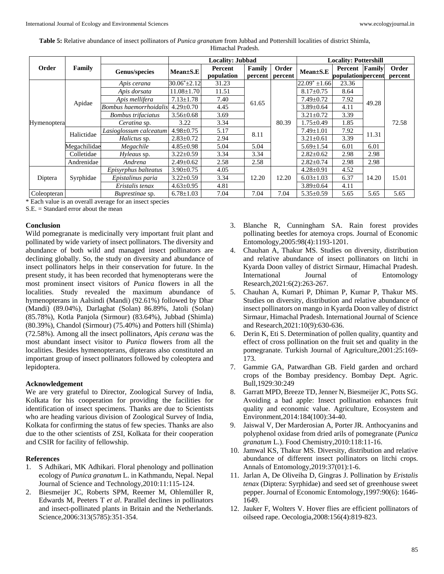|             |              |                        |                    | <b>Locality: Jubbad</b> | <b>Locality: Pottershill</b> |         |                    |                    |        |         |
|-------------|--------------|------------------------|--------------------|-------------------------|------------------------------|---------|--------------------|--------------------|--------|---------|
| Order       | Family       | Genus/species          | $Mean \pm S.E$     | Percent                 | Family                       | Order   | $Mean \pm S.E$     | Percent            | Family | Order   |
|             |              |                        |                    | population              | percent                      | percent |                    | population percent |        | percent |
|             |              | Apis cerana            | $30.06^* \pm 2.12$ | 31.23                   |                              |         | $22.09^* \pm 1.66$ | 23.36              | 49.28  |         |
|             |              | Apis dorsata           | $11.08 \pm 1.70$   | 11.51                   |                              | 80.39   | $8.17 \pm 0.75$    | 8.64               |        |         |
|             |              | Apis mellifera         | $7.13 \pm 1.78$    | 7.40                    |                              |         | $7.49 \pm 0.72$    | 7.92               |        | 72.58   |
|             | Apidae       | Bombus haemorrhoidalis | $4.29 \pm 0.70$    | 4.45                    | 61.65                        |         | $3.89 \pm 0.64$    | 4.11               |        |         |
| Hymenoptera |              | Bombus trifaciatus     | $3.56 \pm 0.68$    | 3.69                    |                              |         | $3.21 \pm 0.72$    | 3.39               |        |         |
|             |              | Ceratina sp.           | 3.22               | 3.34                    |                              |         | $1.75 \pm 0.49$    | 1.85               |        |         |
|             | Halictidae   | Lasioglossum calceatum | $4.98 \pm 0.75$    | 5.17                    | 8.11                         |         | $7.49 \pm 1.01$    | 7.92               | 11.31  |         |
|             |              | Halictus sp.           | $2.83 \pm 0.72$    | 2.94                    |                              |         | $3.21 \pm 0.61$    | 3.39               |        |         |
|             | Megachilidae | Megachile              | $4.85 \pm 0.98$    | 5.04                    | 5.04                         |         | $5.69 \pm 1.54$    | 6.01               | 6.01   |         |
|             | Colletidae   | Hyleaus sp.            | $3.22 \pm 0.59$    | 3.34                    | 3.34                         |         | $2.82 \pm 0.62$    | 2.98               | 2.98   |         |
|             | Andrenidae   | Andrena                | $2.49 \pm 0.62$    | 2.58                    | 2.58                         |         | $2.82 \pm 0.74$    | 2.98               | 2.98   |         |
| Diptera     |              | Episyrphus balteatus   | $3.90 \pm 0.75$    | 4.05                    | 12.20                        | 12.20   | $4.28 \pm 0.91$    | 4.52               | 14.20  | 15.01   |
|             | Syrphidae    | Epistalinus paria      | $3.22 \pm 0.59$    | 3.34                    |                              |         | $6.03 \pm 1.03$    | 6.37               |        |         |
|             |              | Eristalis tenax        | $4.63 \pm 0.95$    | 4.81                    |                              |         | $3.89 \pm 0.64$    | 4.11               |        |         |
| Coleopteran |              | <i>Buprestinae</i> sp. | $6.78 \pm 1.03$    | 7.04                    | 7.04                         | 7.04    | $5.35 \pm 0.59$    | 5.65               | 5.65   | 5.65    |

**Table 5:** Relative abundance of insect pollinators of *Punica granatum* from Jubbad and Pottershill localities of district Shimla, Himachal Pradesh.

\* Each value is an overall average for an insect species

 $S.E. = Standard error about the mean$ 

#### **Conclusion**

Wild pomegranate is medicinally very important fruit plant and pollinated by wide variety of insect pollinators. The diversity and abundance of both wild and managed insect pollinators are declining globally. So, the study on diversity and abundance of insect pollinators helps in their conservation for future. In the present study, it has been recorded that hymenopterans were the most prominent insect visitors of *Punica* flowers in all the localities. Study revealed the maximum abundance of hymenopterans in Aalsindi (Mandi) (92.61%) followed by Dhar (Mandi) (89.04%), Darlaghat (Solan) 86.89%, Jatoli (Solan) (85.78%), Kotla Panjola (Sirmour) (83.64%), Jubbad (Shimla) (80.39%), Chandol (Sirmour) (75.40%) and Potters hill (Shimla) (72.58%). Among all the insect pollinators, *Apis cerana* was the most abundant insect visitor to *Punica* flowers from all the localities. Besides hymenopterans, dipterans also constituted an important group of insect pollinators followed by coleoptera and lepidoptera.

#### **Acknowledgement**

We are very grateful to Director, Zoological Survey of India, Kolkata for his cooperation for providing the facilities for identification of insect specimens. Thanks are due to Scientists who are heading various division of Zoological Survey of India, Kolkata for confirming the status of few species. Thanks are also due to the other scientists of ZSI, Kolkata for their cooperation and CSIR for facility of fellowship.

## **References**

- 1. S Adhikari, MK Adhikari. Floral phenology and pollination ecology of *Punica granatum* L. in Kathmandu, Nepal. Nepal Journal of Science and Technology,2010:11:115-124.
- 2. Biesmeijer JC, Roberts SPM, Reemer M, Ohlemüller R, Edwards M, Peeters T *et al*. Parallel declines in pollinators and insect-pollinated plants in Britain and the Netherlands. Science,2006:313(5785):351-354.
- 3. Blanche R, Cunningham SA. Rain forest provides pollinating beetles for atemoya crops. Journal of Economic Entomology,2005:98(4):1193-1201.
- 4. Chauhan A, Thakur MS. Studies on diversity, distribution and relative abundance of insect pollinators on litchi in Kyarda Doon valley of district Sirmaur, Himachal Pradesh. International Journal of Entomology Research,2021:6(2):263-267.
- 5. Chauhan A, Kumari P, Dhiman P, Kumar P, Thakur MS. Studies on diversity, distribution and relative abundance of insect pollinators on mango in Kyarda Doon valley of district Sirmaur, Himachal Pradesh. International Journal of Science and Research,2021:10(9):630-636.
- 6. Derin K, Eti S. Determination of pollen quality, quantity and effect of cross pollination on the fruit set and quality in the pomegranate. Turkish Journal of Agriculture,2001:25:169- 173.
- 7. Gammie GA, Patwardhan GB. Field garden and orchard crops of the Bombay presidency. Bombay Dept. Agric. Bull,1929:30:249
- 8. Garratt MPD, Breeze TD, Jenner N, Biesmeijer JC, Potts SG. Avoiding a bad apple: Insect pollination enhances fruit quality and economic value. Agriculture, Ecosystem and Environment,2014:184(100):34-40.
- 9. Jaiswal V, Der Marderosian A, Porter JR. Anthocyanins and polyphenol oxidase from dried arils of pomegranate (*Punica granatum* L.). Food Chemistry,2010:118:11-16.
- 10. Jamwal KS, Thakur MS. Diversity, distribution and relative abundance of different insect pollinators on litchi crops. Annals of Entomology,2019:37(01):1-6.
- 11. Jarlan A, De Oliveiha D, Gingras J. Pollination by *Eristalis tenax* (Diptera: Syrphidae) and seed set of greenhouse sweet pepper. Journal of Economic Entomology,1997:90(6): 1646- 1649.
- 12. Jauker F, Wolters V. Hover flies are efficient pollinators of oilseed rape. Oecologia,2008:156(4):819-823.